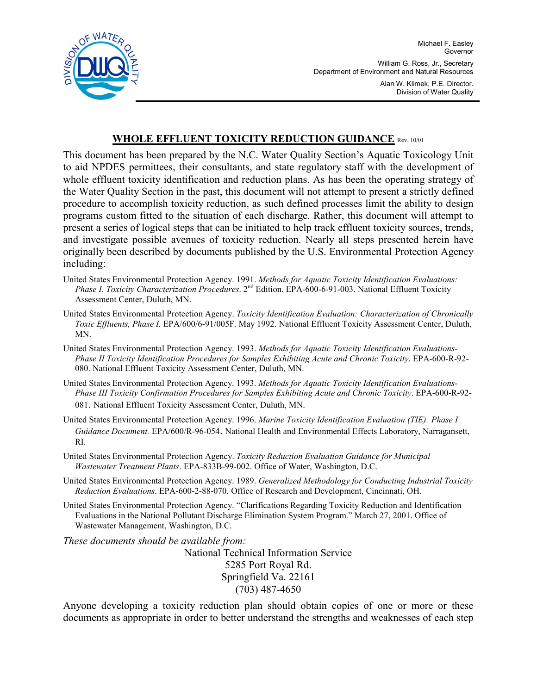

Michael F. Easley **Governor** William G. Ross, Jr., Secretary Department of Environment and Natural Resources Alan W. Klimek, P.E. Director. Division of Water Quality

## **WHOLE EFFLUENT TOXICITY REDUCTION GUIDANCE** Rev. 10/01

This document has been prepared by the N.C. Water Quality Section's Aquatic Toxicology Unit to aid NPDES permittees, their consultants, and state regulatory staff with the development of whole effluent toxicity identification and reduction plans. As has been the operating strategy of the Water Quality Section in the past, this document will not attempt to present a strictly defined procedure to accomplish toxicity reduction, as such defined processes limit the ability to design programs custom fitted to the situation of each discharge. Rather, this document will attempt to present a series of logical steps that can be initiated to help track effluent toxicity sources, trends, and investigate possible avenues of toxicity reduction. Nearly all steps presented herein have originally been described by documents published by the U.S. Environmental Protection Agency including:

United States Environmental Protection Agency. 1991. *Methods for Aquatic Toxicity Identification Evaluations: Phase I. Toxicity Characterization Procedures*. 2nd Edition. EPA-600-6-91-003. National Effluent Toxicity Assessment Center, Duluth, MN.

- United States Environmental Protection Agency. *Toxicity Identification Evaluation: Characterization of Chronically Toxic Effluents, Phase I.* EPA/600/6-91/005F. May 1992. National Effluent Toxicity Assessment Center, Duluth, MN.
- United States Environmental Protection Agency. 1993. *Methods for Aquatic Toxicity Identification Evaluations-Phase II Toxicity Identification Procedures for Samples Exhibiting Acute and Chronic Toxicity*. EPA-600-R-92- 080. National Effluent Toxicity Assessment Center, Duluth, MN.
- United States Environmental Protection Agency. 1993. *Methods for Aquatic Toxicity Identification Evaluations-Phase III Toxicity Confirmation Procedures for Samples Exhibiting Acute and Chronic Toxicity*. EPA-600-R-92- 081. National Effluent Toxicity Assessment Center, Duluth, MN.
- United States Environmental Protection Agency. 1996. *Marine Toxicity Identification Evaluation (TIE): Phase I Guidance Document.* EPA/600/R-96-054. National Health and Environmental Effects Laboratory, Narragansett, RI.
- United States Environmental Protection Agency. *Toxicity Reduction Evaluation Guidance for Municipal Wastewater Treatment Plants*. EPA-833B-99-002. Office of Water, Washington, D.C.
- United States Environmental Protection Agency. 1989. *Generalized Methodology for Conducting Industrial Toxicity Reduction Evaluations*. EPA-600-2-88-070. Office of Research and Development, Cincinnati, OH.
- United States Environmental Protection Agency. "Clarifications Regarding Toxicity Reduction and Identification Evaluations in the National Pollutant Discharge Elimination System Program." March 27, 2001. Office of Wastewater Management, Washington, D.C.

*These documents should be available from:* 

National Technical Information Service 5285 Port Royal Rd. Springfield Va. 22161 (703) 487-4650

Anyone developing a toxicity reduction plan should obtain copies of one or more or these documents as appropriate in order to better understand the strengths and weaknesses of each step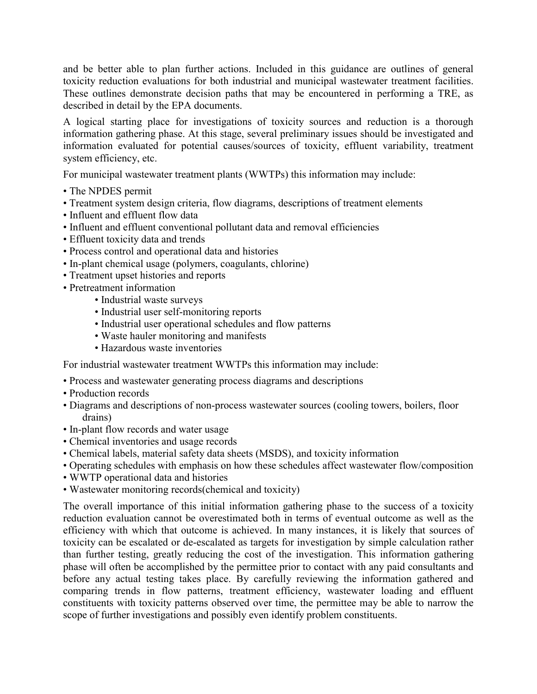and be better able to plan further actions. Included in this guidance are outlines of general toxicity reduction evaluations for both industrial and municipal wastewater treatment facilities. These outlines demonstrate decision paths that may be encountered in performing a TRE, as described in detail by the EPA documents.

A logical starting place for investigations of toxicity sources and reduction is a thorough information gathering phase. At this stage, several preliminary issues should be investigated and information evaluated for potential causes/sources of toxicity, effluent variability, treatment system efficiency, etc.

For municipal wastewater treatment plants (WWTPs) this information may include:

- The NPDES permit
- Treatment system design criteria, flow diagrams, descriptions of treatment elements
- Influent and effluent flow data
- Influent and effluent conventional pollutant data and removal efficiencies
- Effluent toxicity data and trends
- Process control and operational data and histories
- In-plant chemical usage (polymers, coagulants, chlorine)
- Treatment upset histories and reports
- Pretreatment information
	- Industrial waste surveys
	- Industrial user self-monitoring reports
	- Industrial user operational schedules and flow patterns
	- Waste hauler monitoring and manifests
	- Hazardous waste inventories

For industrial wastewater treatment WWTPs this information may include:

- Process and wastewater generating process diagrams and descriptions
- Production records
- Diagrams and descriptions of non-process wastewater sources (cooling towers, boilers, floor drains)
- In-plant flow records and water usage
- Chemical inventories and usage records
- Chemical labels, material safety data sheets (MSDS), and toxicity information
- Operating schedules with emphasis on how these schedules affect wastewater flow/composition
- WWTP operational data and histories
- Wastewater monitoring records(chemical and toxicity)

The overall importance of this initial information gathering phase to the success of a toxicity reduction evaluation cannot be overestimated both in terms of eventual outcome as well as the efficiency with which that outcome is achieved. In many instances, it is likely that sources of toxicity can be escalated or de-escalated as targets for investigation by simple calculation rather than further testing, greatly reducing the cost of the investigation. This information gathering phase will often be accomplished by the permittee prior to contact with any paid consultants and before any actual testing takes place. By carefully reviewing the information gathered and comparing trends in flow patterns, treatment efficiency, wastewater loading and effluent constituents with toxicity patterns observed over time, the permittee may be able to narrow the scope of further investigations and possibly even identify problem constituents.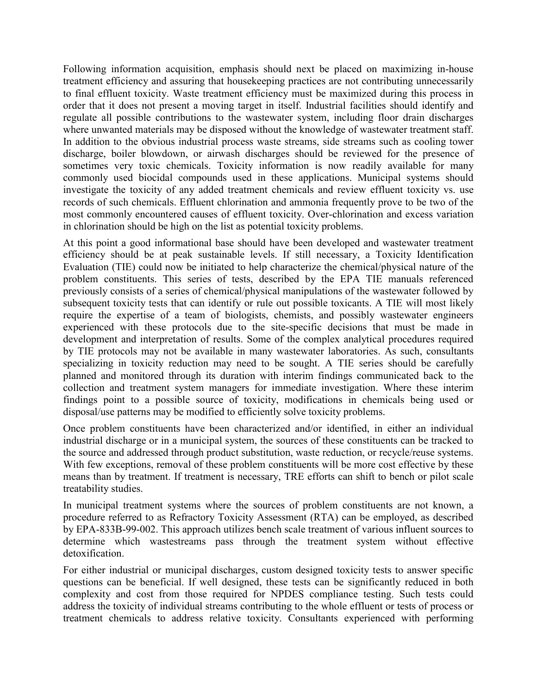Following information acquisition, emphasis should next be placed on maximizing in-house treatment efficiency and assuring that housekeeping practices are not contributing unnecessarily to final effluent toxicity. Waste treatment efficiency must be maximized during this process in order that it does not present a moving target in itself. Industrial facilities should identify and regulate all possible contributions to the wastewater system, including floor drain discharges where unwanted materials may be disposed without the knowledge of wastewater treatment staff. In addition to the obvious industrial process waste streams, side streams such as cooling tower discharge, boiler blowdown, or airwash discharges should be reviewed for the presence of sometimes very toxic chemicals. Toxicity information is now readily available for many commonly used biocidal compounds used in these applications. Municipal systems should investigate the toxicity of any added treatment chemicals and review effluent toxicity vs. use records of such chemicals. Effluent chlorination and ammonia frequently prove to be two of the most commonly encountered causes of effluent toxicity. Over-chlorination and excess variation in chlorination should be high on the list as potential toxicity problems.

At this point a good informational base should have been developed and wastewater treatment efficiency should be at peak sustainable levels. If still necessary, a Toxicity Identification Evaluation (TIE) could now be initiated to help characterize the chemical/physical nature of the problem constituents. This series of tests, described by the EPA TIE manuals referenced previously consists of a series of chemical/physical manipulations of the wastewater followed by subsequent toxicity tests that can identify or rule out possible toxicants. A TIE will most likely require the expertise of a team of biologists, chemists, and possibly wastewater engineers experienced with these protocols due to the site-specific decisions that must be made in development and interpretation of results. Some of the complex analytical procedures required by TIE protocols may not be available in many wastewater laboratories. As such, consultants specializing in toxicity reduction may need to be sought. A TIE series should be carefully planned and monitored through its duration with interim findings communicated back to the collection and treatment system managers for immediate investigation. Where these interim findings point to a possible source of toxicity, modifications in chemicals being used or disposal/use patterns may be modified to efficiently solve toxicity problems.

Once problem constituents have been characterized and/or identified, in either an individual industrial discharge or in a municipal system, the sources of these constituents can be tracked to the source and addressed through product substitution, waste reduction, or recycle/reuse systems. With few exceptions, removal of these problem constituents will be more cost effective by these means than by treatment. If treatment is necessary, TRE efforts can shift to bench or pilot scale treatability studies.

In municipal treatment systems where the sources of problem constituents are not known, a procedure referred to as Refractory Toxicity Assessment (RTA) can be employed, as described by EPA-833B-99-002. This approach utilizes bench scale treatment of various influent sources to determine which wastestreams pass through the treatment system without effective detoxification.

For either industrial or municipal discharges, custom designed toxicity tests to answer specific questions can be beneficial. If well designed, these tests can be significantly reduced in both complexity and cost from those required for NPDES compliance testing. Such tests could address the toxicity of individual streams contributing to the whole effluent or tests of process or treatment chemicals to address relative toxicity. Consultants experienced with performing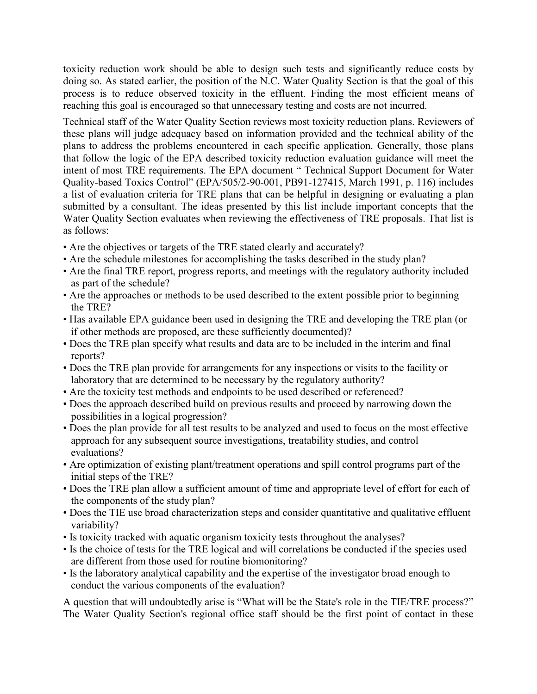toxicity reduction work should be able to design such tests and significantly reduce costs by doing so. As stated earlier, the position of the N.C. Water Quality Section is that the goal of this process is to reduce observed toxicity in the effluent. Finding the most efficient means of reaching this goal is encouraged so that unnecessary testing and costs are not incurred.

Technical staff of the Water Quality Section reviews most toxicity reduction plans. Reviewers of these plans will judge adequacy based on information provided and the technical ability of the plans to address the problems encountered in each specific application. Generally, those plans that follow the logic of the EPA described toxicity reduction evaluation guidance will meet the intent of most TRE requirements. The EPA document " Technical Support Document for Water Quality-based Toxics Control" (EPA/505/2-90-001, PB91-127415, March 1991, p. 116) includes a list of evaluation criteria for TRE plans that can be helpful in designing or evaluating a plan submitted by a consultant. The ideas presented by this list include important concepts that the Water Quality Section evaluates when reviewing the effectiveness of TRE proposals. That list is as follows:

- Are the objectives or targets of the TRE stated clearly and accurately?
- Are the schedule milestones for accomplishing the tasks described in the study plan?
- Are the final TRE report, progress reports, and meetings with the regulatory authority included as part of the schedule?
- Are the approaches or methods to be used described to the extent possible prior to beginning the TRE?
- Has available EPA guidance been used in designing the TRE and developing the TRE plan (or if other methods are proposed, are these sufficiently documented)?
- Does the TRE plan specify what results and data are to be included in the interim and final reports?
- Does the TRE plan provide for arrangements for any inspections or visits to the facility or laboratory that are determined to be necessary by the regulatory authority?
- Are the toxicity test methods and endpoints to be used described or referenced?
- Does the approach described build on previous results and proceed by narrowing down the possibilities in a logical progression?
- Does the plan provide for all test results to be analyzed and used to focus on the most effective approach for any subsequent source investigations, treatability studies, and control evaluations?
- Are optimization of existing plant/treatment operations and spill control programs part of the initial steps of the TRE?
- Does the TRE plan allow a sufficient amount of time and appropriate level of effort for each of the components of the study plan?
- Does the TIE use broad characterization steps and consider quantitative and qualitative effluent variability?
- Is toxicity tracked with aquatic organism toxicity tests throughout the analyses?
- Is the choice of tests for the TRE logical and will correlations be conducted if the species used are different from those used for routine biomonitoring?
- Is the laboratory analytical capability and the expertise of the investigator broad enough to conduct the various components of the evaluation?

A question that will undoubtedly arise is "What will be the State's role in the TIE/TRE process?" The Water Quality Section's regional office staff should be the first point of contact in these